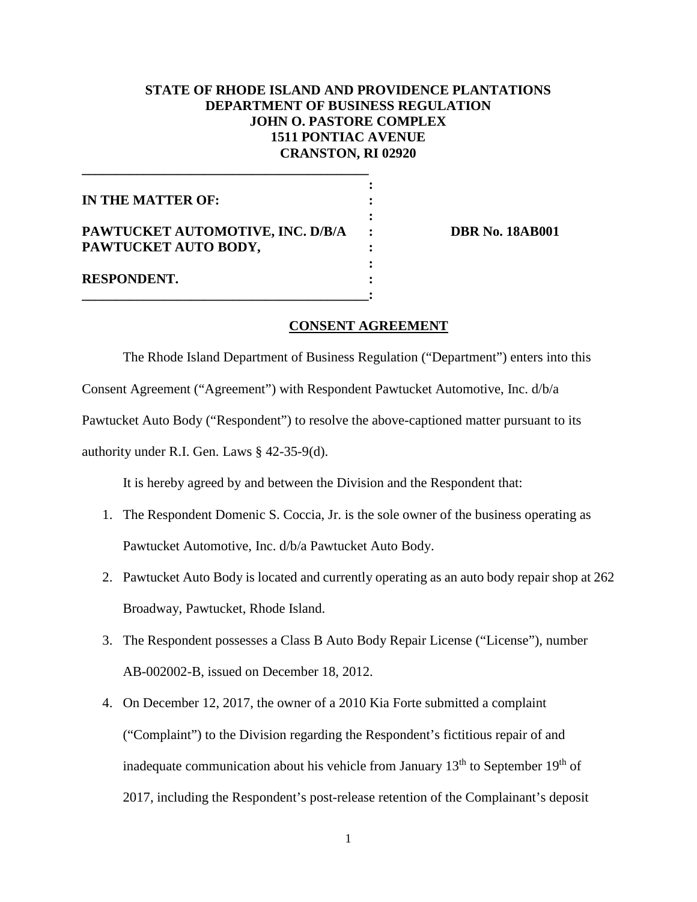## **STATE OF RHODE ISLAND AND PROVIDENCE PLANTATIONS DEPARTMENT OF BUSINESS REGULATION JOHN O. PASTORE COMPLEX 1511 PONTIAC AVENUE CRANSTON, RI 02920**

| IN THE MATTER OF:                |  |
|----------------------------------|--|
|                                  |  |
| PAWTUCKET AUTOMOTIVE, INC. D/B/A |  |
| PAWTUCKET AUTO BODY,             |  |
|                                  |  |
| <b>RESPONDENT.</b>               |  |

**\_\_\_\_\_\_\_\_\_\_\_\_\_\_\_\_\_\_\_\_\_\_\_\_\_\_\_\_\_\_\_\_\_\_\_\_\_\_\_\_\_\_:** 

**\_\_\_\_\_\_\_\_\_\_\_\_\_\_\_\_\_\_\_\_\_\_\_\_\_\_\_\_\_\_\_\_\_\_\_\_\_\_\_\_\_\_**

**PAYTE: PAYTUCKET AUTOR NO. 18AB001** 

## **CONSENT AGREEMENT**

The Rhode Island Department of Business Regulation ("Department") enters into this

Consent Agreement ("Agreement") with Respondent Pawtucket Automotive, Inc. d/b/a

Pawtucket Auto Body ("Respondent") to resolve the above-captioned matter pursuant to its

authority under R.I. Gen. Laws § 42-35-9(d).

It is hereby agreed by and between the Division and the Respondent that:

- 1. The Respondent Domenic S. Coccia, Jr. is the sole owner of the business operating as Pawtucket Automotive, Inc. d/b/a Pawtucket Auto Body.
- 2. Pawtucket Auto Body is located and currently operating as an auto body repair shop at 262 Broadway, Pawtucket, Rhode Island.
- 3. The Respondent possesses a Class B Auto Body Repair License ("License"), number AB-002002-B, issued on December 18, 2012.
- 4. On December 12, 2017, the owner of a 2010 Kia Forte submitted a complaint ("Complaint") to the Division regarding the Respondent's fictitious repair of and inadequate communication about his vehicle from January  $13<sup>th</sup>$  to September  $19<sup>th</sup>$  of 2017, including the Respondent's post-release retention of the Complainant's deposit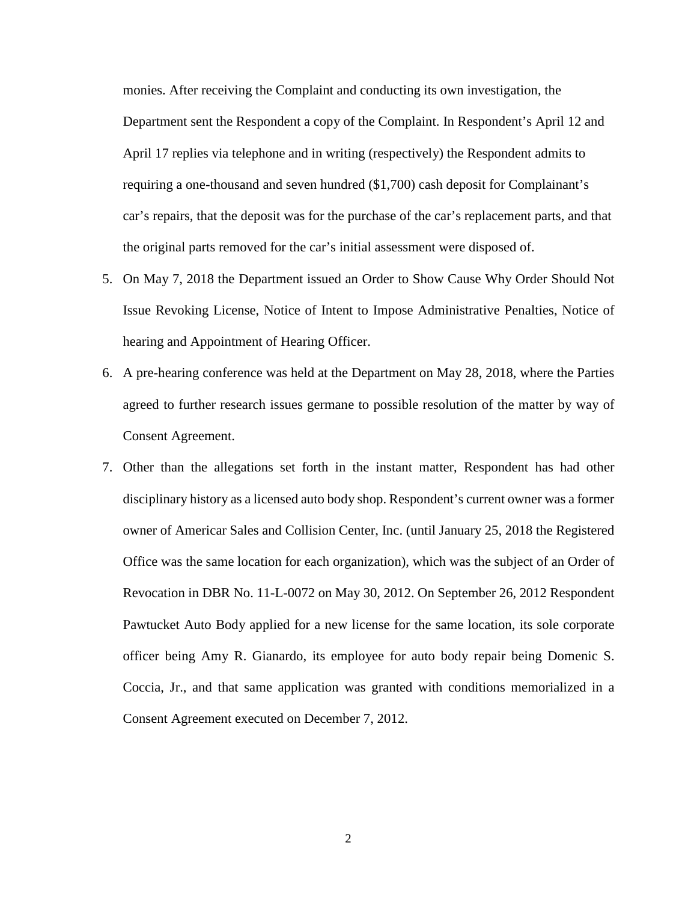monies. After receiving the Complaint and conducting its own investigation, the Department sent the Respondent a copy of the Complaint. In Respondent's April 12 and April 17 replies via telephone and in writing (respectively) the Respondent admits to requiring a one-thousand and seven hundred (\$1,700) cash deposit for Complainant's car's repairs, that the deposit was for the purchase of the car's replacement parts, and that the original parts removed for the car's initial assessment were disposed of.

- 5. On May 7, 2018 the Department issued an Order to Show Cause Why Order Should Not Issue Revoking License, Notice of Intent to Impose Administrative Penalties, Notice of hearing and Appointment of Hearing Officer.
- 6. A pre-hearing conference was held at the Department on May 28, 2018, where the Parties agreed to further research issues germane to possible resolution of the matter by way of Consent Agreement.
- 7. Other than the allegations set forth in the instant matter, Respondent has had other disciplinary history as a licensed auto body shop. Respondent's current owner was a former owner of Americar Sales and Collision Center, Inc. (until January 25, 2018 the Registered Office was the same location for each organization), which was the subject of an Order of Revocation in DBR No. 11-L-0072 on May 30, 2012. On September 26, 2012 Respondent Pawtucket Auto Body applied for a new license for the same location, its sole corporate officer being Amy R. Gianardo, its employee for auto body repair being Domenic S. Coccia, Jr., and that same application was granted with conditions memorialized in a Consent Agreement executed on December 7, 2012.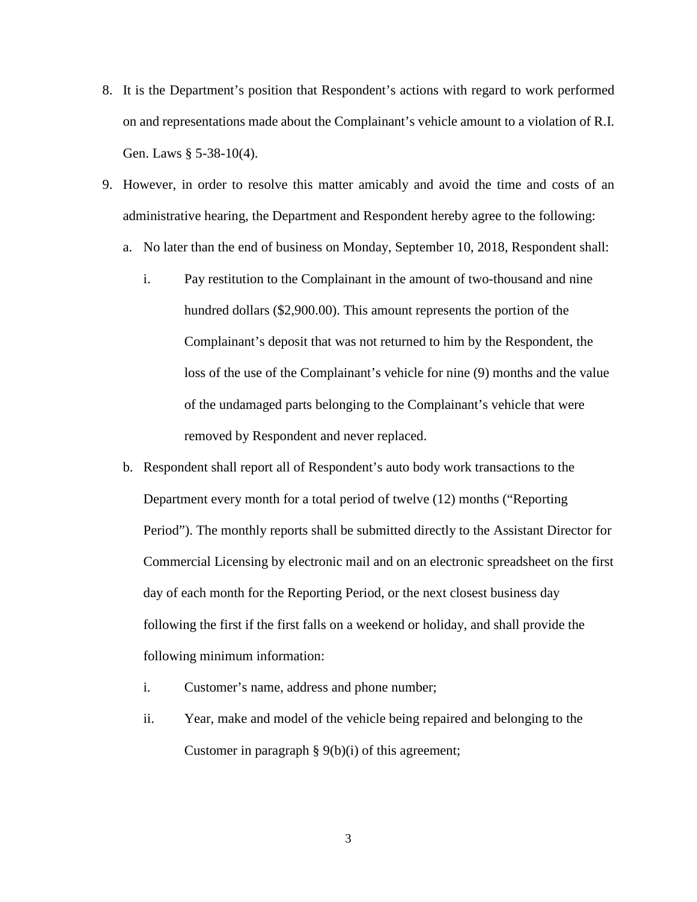- 8. It is the Department's position that Respondent's actions with regard to work performed on and representations made about the Complainant's vehicle amount to a violation of R.I. Gen. Laws § 5-38-10(4).
- 9. However, in order to resolve this matter amicably and avoid the time and costs of an administrative hearing, the Department and Respondent hereby agree to the following:
	- a. No later than the end of business on Monday, September 10, 2018, Respondent shall:
		- i. Pay restitution to the Complainant in the amount of two-thousand and nine hundred dollars (\$2,900.00). This amount represents the portion of the Complainant's deposit that was not returned to him by the Respondent, the loss of the use of the Complainant's vehicle for nine (9) months and the value of the undamaged parts belonging to the Complainant's vehicle that were removed by Respondent and never replaced.
	- b. Respondent shall report all of Respondent's auto body work transactions to the Department every month for a total period of twelve (12) months ("Reporting Period"). The monthly reports shall be submitted directly to the Assistant Director for Commercial Licensing by electronic mail and on an electronic spreadsheet on the first day of each month for the Reporting Period, or the next closest business day following the first if the first falls on a weekend or holiday, and shall provide the following minimum information:
		- i. Customer's name, address and phone number;
		- ii. Year, make and model of the vehicle being repaired and belonging to the Customer in paragraph  $\S 9(b)(i)$  of this agreement;

3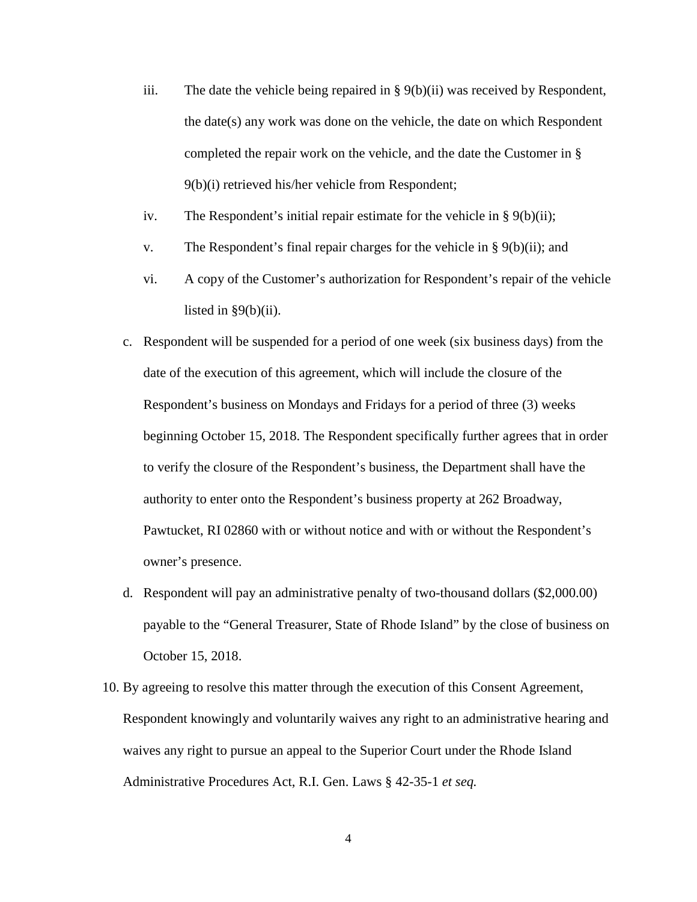- iii. The date the vehicle being repaired in  $\S 9(b)(ii)$  was received by Respondent, the date(s) any work was done on the vehicle, the date on which Respondent completed the repair work on the vehicle, and the date the Customer in § 9(b)(i) retrieved his/her vehicle from Respondent;
- iv. The Respondent's initial repair estimate for the vehicle in  $\S 9(b)(ii)$ ;
- v. The Respondent's final repair charges for the vehicle in  $\S 9(b)(ii)$ ; and
- vi. A copy of the Customer's authorization for Respondent's repair of the vehicle listed in  $\S9(b)(ii)$ .
- c. Respondent will be suspended for a period of one week (six business days) from the date of the execution of this agreement, which will include the closure of the Respondent's business on Mondays and Fridays for a period of three (3) weeks beginning October 15, 2018. The Respondent specifically further agrees that in order to verify the closure of the Respondent's business, the Department shall have the authority to enter onto the Respondent's business property at 262 Broadway, Pawtucket, RI 02860 with or without notice and with or without the Respondent's owner's presence.
- d. Respondent will pay an administrative penalty of two-thousand dollars (\$2,000.00) payable to the "General Treasurer, State of Rhode Island" by the close of business on October 15, 2018.
- 10. By agreeing to resolve this matter through the execution of this Consent Agreement, Respondent knowingly and voluntarily waives any right to an administrative hearing and waives any right to pursue an appeal to the Superior Court under the Rhode Island Administrative Procedures Act, R.I. Gen. Laws § 42-35-1 *et seq.*

4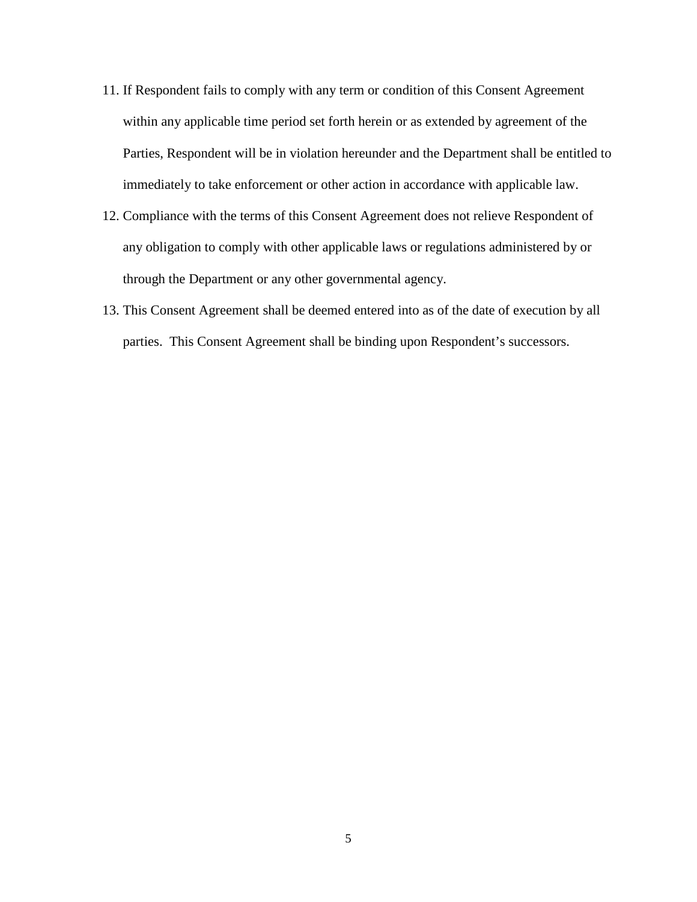- 11. If Respondent fails to comply with any term or condition of this Consent Agreement within any applicable time period set forth herein or as extended by agreement of the Parties, Respondent will be in violation hereunder and the Department shall be entitled to immediately to take enforcement or other action in accordance with applicable law.
- 12. Compliance with the terms of this Consent Agreement does not relieve Respondent of any obligation to comply with other applicable laws or regulations administered by or through the Department or any other governmental agency.
- 13. This Consent Agreement shall be deemed entered into as of the date of execution by all parties. This Consent Agreement shall be binding upon Respondent's successors.